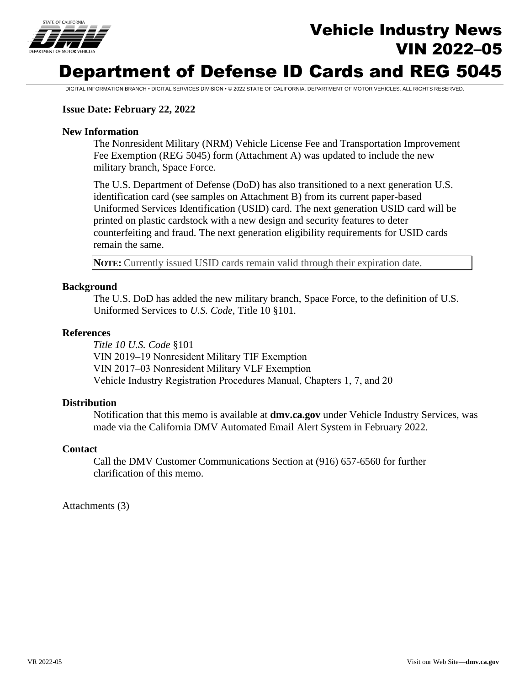

# Vehicle Industry News VIN 2022–05

## Department of Defense ID Cards and REG 5045

DIGITAL INFORMATION BRANCH • DIGITAL SERVICES DIVISION • © 2022 STATE OF CALIFORNIA, DEPARTMENT OF MOTOR VEHICLES. ALL RIGHTS RESERVED.

#### **Issue Date: February 22, 2022**

#### **New Information**

The Nonresident Military (NRM) Vehicle License Fee and Transportation Improvement Fee Exemption (REG 5045) form (Attachment A) was updated to include the new military branch, Space Force*.*

The U.S. Department of Defense (DoD) has also transitioned to a next generation U.S. identification card (see samples on Attachment B) from its current paper-based Uniformed Services Identification (USID) card. The next generation USID card will be printed on plastic cardstock with a new design and security features to deter counterfeiting and fraud. The next generation eligibility requirements for USID cards remain the same.

**NOTE:** Currently issued USID cards remain valid through their expiration date.

#### **Background**

The U.S. DoD has added the new military branch, Space Force, to the definition of U.S. Uniformed Services to *U.S. Code*, Title 10 §101*.*

#### **References**

*Title 10 U.S. Code* §101 VIN 2019–19 Nonresident Military TIF Exemption VIN 2017–03 Nonresident Military VLF Exemption Vehicle Industry Registration Procedures Manual, Chapters 1, 7, and 20

#### **Distribution**

Notification that this memo is available at **dmv.ca.gov** under Vehicle Industry Services, was made via the California DMV Automated Email Alert System in February 2022.

#### **Contact**

Call the DMV Customer Communications Section at (916) 657-6560 for further clarification of this memo.

Attachments (3)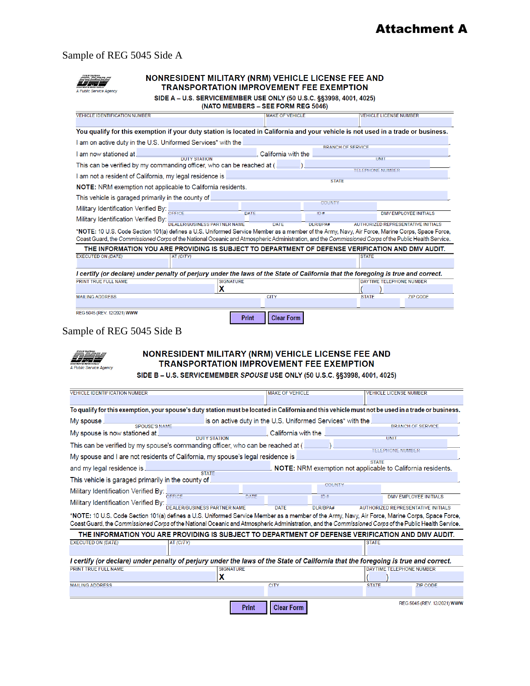#### Sample of REG 5045 Side A

| <b>MOTO</b>             |
|-------------------------|
| A Public Service Agency |

#### NONRESIDENT MILITARY (NRM) VEHICLE LICENSE FEE AND **TRANSPORTATION IMPROVEMENT FEE EXEMPTION**

| SIDE A - U.S. SERVICEMEMBER USE ONLY (50 U.S.C. §§3998, 4001, 4025) |  |  |  |
|---------------------------------------------------------------------|--|--|--|
|                                                                     |  |  |  |

(NATO MEMBERS – SEE FORM REG 5046)

| <b>VEHICLE IDENTIFICATION NUMBER</b>                                                                                                                                                                                                                                                                    |                                                 | <b>MAKE OF VEHICLE</b>     |                 | <b>VEHICLE LICENSE NUMBER</b>                                             |  |  |
|---------------------------------------------------------------------------------------------------------------------------------------------------------------------------------------------------------------------------------------------------------------------------------------------------------|-------------------------------------------------|----------------------------|-----------------|---------------------------------------------------------------------------|--|--|
|                                                                                                                                                                                                                                                                                                         |                                                 |                            |                 |                                                                           |  |  |
| You qualify for this exemption if your duty station is located in California and your vehicle is not used in a trade or business.                                                                                                                                                                       |                                                 |                            |                 |                                                                           |  |  |
| I am on active duty in the U.S. Uniformed Services* with the                                                                                                                                                                                                                                            |                                                 |                            |                 |                                                                           |  |  |
| I am now stationed at                                                                                                                                                                                                                                                                                   | <b>BRANCH OF SERVICE</b><br>California with the |                            |                 |                                                                           |  |  |
| This can be verified by my commanding officer, who can be reached at (                                                                                                                                                                                                                                  | <b>DUTY STATION</b>                             |                            |                 | UNIT<br><b>TELEPHONE NUMBER</b>                                           |  |  |
| I am not a resident of California, my legal residence is                                                                                                                                                                                                                                                |                                                 |                            |                 |                                                                           |  |  |
| <b>STATE</b><br><b>NOTE:</b> NRM exemption not applicable to California residents.                                                                                                                                                                                                                      |                                                 |                            |                 |                                                                           |  |  |
| This vehicle is garaged primarily in the county of                                                                                                                                                                                                                                                      |                                                 |                            |                 |                                                                           |  |  |
| Military Identification Verified By:                                                                                                                                                                                                                                                                    |                                                 |                            | <b>COUNTY</b>   |                                                                           |  |  |
| Military Identification Verified By:                                                                                                                                                                                                                                                                    | DEALER/BUSINESS PARTNER NAME                    | DATE<br><b>DATE</b>        | 1D#<br>DLR/BPA# | <b>DMV EMPLOYEE INITIALS</b><br><b>AUTHORIZED REPRESENTATIVE INITIALS</b> |  |  |
| *NOTE: 10 U.S. Code Section 101(a) defines a U.S. Uniformed Service Member as a member of the Army, Navy, Air Force, Marine Corps, Space Force,<br>Coast Guard, the Commissioned Corps of the National Oceanic and Atmospheric Administration, and the Commissioned Corps of the Public Health Service. |                                                 |                            |                 |                                                                           |  |  |
| THE INFORMATION YOU ARE PROVIDING IS SUBJECT TO DEPARTMENT OF DEFENSE VERIFICATION AND DMV AUDIT.                                                                                                                                                                                                       |                                                 |                            |                 |                                                                           |  |  |
| <b>EXECUTED ON (DATE)</b>                                                                                                                                                                                                                                                                               | AT (CITY)                                       |                            |                 | <b>STATE</b>                                                              |  |  |
| I certify (or declare) under penalty of perjury under the laws of the State of California that the foregoing is true and correct.                                                                                                                                                                       |                                                 |                            |                 |                                                                           |  |  |
| PRINT TRUE FULL NAME                                                                                                                                                                                                                                                                                    |                                                 | <b>SIGNATURE</b>           |                 | DAYTIME TELEPHONE NUMBER                                                  |  |  |
|                                                                                                                                                                                                                                                                                                         | x                                               |                            |                 | <b>STATE</b>                                                              |  |  |
| <b>MAILING ADDRESS</b>                                                                                                                                                                                                                                                                                  |                                                 | <b>CITY</b>                |                 | <b>ZIP CODE</b>                                                           |  |  |
| REG 5045 (REV. 12/2021) WWW                                                                                                                                                                                                                                                                             |                                                 | <b>Clear Form</b><br>Print |                 |                                                                           |  |  |

### Sample of REG 5045 Side B



#### NONRESIDENT MILITARY (NRM) VEHICLE LICENSE FEE AND **TRANSPORTATION IMPROVEMENT FEE EXEMPTION**

SIDE B - U.S. SERVICEMEMBER SPOUSE USE ONLY (50 U.S.C. §§3998, 4001, 4025)

| <b>VEHICLE IDENTIFICATION NUMBER</b>                                                                                                                                                                                                                                                                    |                                                                             | <b>MAKE OF VEHICLE</b>            |                                                            |              | <b>VEHICLE LICENSE NUMBER</b>      |
|---------------------------------------------------------------------------------------------------------------------------------------------------------------------------------------------------------------------------------------------------------------------------------------------------------|-----------------------------------------------------------------------------|-----------------------------------|------------------------------------------------------------|--------------|------------------------------------|
|                                                                                                                                                                                                                                                                                                         |                                                                             |                                   |                                                            |              |                                    |
| To qualify for this exemption, your spouse's duty station must be located in California and this vehicle must not be used in a trade or business.                                                                                                                                                       |                                                                             |                                   |                                                            |              |                                    |
| My spouse<br><b>SPOUSE'S NAME</b>                                                                                                                                                                                                                                                                       |                                                                             |                                   | is on active duty in the U.S. Uniformed Services* with the |              | <b>BRANCH OF SERVICE</b>           |
| My spouse is now stationed at                                                                                                                                                                                                                                                                           | <b>DUTY STATION</b>                                                         |                                   | California with the                                        |              | <b>UNIT</b>                        |
| This can be verified by my spouse's commanding officer, who can be reached at ( $\_$<br>TELEPHONE NUMBER                                                                                                                                                                                                |                                                                             |                                   |                                                            |              |                                    |
| My spouse and I are not residents of California, my spouse's legal residence is                                                                                                                                                                                                                         |                                                                             |                                   |                                                            |              |                                    |
| and my legal residence is                                                                                                                                                                                                                                                                               | <b>STATE</b><br>NOTE: NRM exemption not applicable to California residents. |                                   |                                                            |              |                                    |
| This vehicle is garaged primarily in the county of.                                                                                                                                                                                                                                                     | <b>STATE</b>                                                                |                                   |                                                            |              |                                    |
| Military Identification Verified By: OFFICE                                                                                                                                                                                                                                                             |                                                                             |                                   | COUNTY                                                     |              |                                    |
| Military Identification Verified By:                                                                                                                                                                                                                                                                    |                                                                             | DATE                              | ID#                                                        |              | <b>DMV EMPLOYEE INITIALS</b>       |
|                                                                                                                                                                                                                                                                                                         | .<br>DEALER/BUSINESS PARTNER NAME                                           | <b>DATE</b>                       | DLR/BPA#                                                   |              | AUTHORIZED REPRESENTATIVE INITIALS |
| *NOTE: 10 U.S. Code Section 101(a) defines a U.S. Uniformed Service Member as a member of the Army, Navy, Air Force, Marine Corps, Space Force,<br>Coast Guard, the Commissioned Corps of the National Oceanic and Atmospheric Administration, and the Commissioned Corps of the Public Health Service. |                                                                             |                                   |                                                            |              |                                    |
| THE INFORMATION YOU ARE PROVIDING IS SUBJECT TO DEPARTMENT OF DEFENSE VERIFICATION AND DMV AUDIT.                                                                                                                                                                                                       |                                                                             |                                   |                                                            |              |                                    |
| <b>EXECUTED ON (DATE)</b>                                                                                                                                                                                                                                                                               | AT (CITY)                                                                   |                                   |                                                            | <b>STATE</b> |                                    |
| l certify (or declare) under penalty of perjury under the laws of the State of California that the foregoing is true and correct.                                                                                                                                                                       |                                                                             |                                   |                                                            |              |                                    |
| PRINT TRUE FULL NAME                                                                                                                                                                                                                                                                                    | <b>SIGNATURE</b>                                                            |                                   |                                                            |              | <b>DAYTIME TELEPHONE NUMBER</b>    |
|                                                                                                                                                                                                                                                                                                         | x                                                                           |                                   |                                                            |              |                                    |
| <b>MAILING ADDRESS</b>                                                                                                                                                                                                                                                                                  |                                                                             | <b>CITY</b>                       |                                                            | <b>STATE</b> | <b>ZIP CODE</b>                    |
|                                                                                                                                                                                                                                                                                                         |                                                                             |                                   |                                                            |              |                                    |
|                                                                                                                                                                                                                                                                                                         |                                                                             | <b>Clear Form</b><br><b>Print</b> |                                                            |              | REG 5045 (REV. 12/2021) WWW        |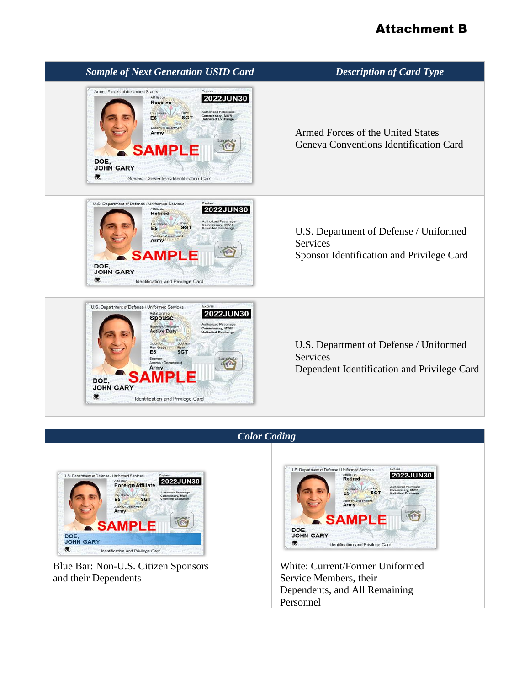## Attachment B

| <b>Sample of Next Generation USID Card</b>                                                                                                                                                                                                                                                                                                                                                                       | <b>Description of Card Type</b>                                                                   |
|------------------------------------------------------------------------------------------------------------------------------------------------------------------------------------------------------------------------------------------------------------------------------------------------------------------------------------------------------------------------------------------------------------------|---------------------------------------------------------------------------------------------------|
| Armed Forces of the United States<br>Expires<br>Affiliation<br><b>2022JUN30</b><br><b>Reserve</b><br>Authorized Patronage<br>Pay Grad-<br>Commissary, MWR<br><b>SGT</b><br>E <sub>5</sub><br><b>Sted Evehan</b><br>Agency / Department<br>Army<br>Laminate<br><b>Vt</b> -ou<br><b>SAMPLE</b><br>DOE.<br><b>JOHN GARY</b><br>Geneva Conventions Identification Card                                               | Armed Forces of the United States<br>Geneva Conventions Identification Card                       |
| Expires<br>U.S. Department of Defense / Uniformed Services<br>Affiliation<br><b>2022JUN30</b><br><b>Retired</b><br><b>Authorized Patronage</b><br>Commissary, MWR<br><b>SGT</b><br>E5<br>Agency/ Department<br>Army<br>it ot<br><b>SAMPLE</b><br>DOE.<br><b>JOHN GARY</b><br>Identification and Privilege Card                                                                                                   | U.S. Department of Defense / Uniformed<br>Services<br>Sponsor Identification and Privilege Card   |
| Expires<br>U.S. Department of Defense / Uniformed Services<br>Relationship<br><b>Spouse</b><br>Authorized Patronage<br>Sponsor Athliation<br>Commissary, MWR<br><b>Active Duty</b><br><b>Jnlimited Exchange</b><br>Sportscr<br>Sponso<br>Pay Grade<br>Rank<br><b>SGT</b><br>E <sub>5</sub><br>Sponsor<br>Laminat<br>Agency / Department<br>Army<br>DOE.<br><b>JOHN GARY</b><br>Identification and Privilege Card | U.S. Department of Defense / Uniformed<br>Services<br>Dependent Identification and Privilege Card |